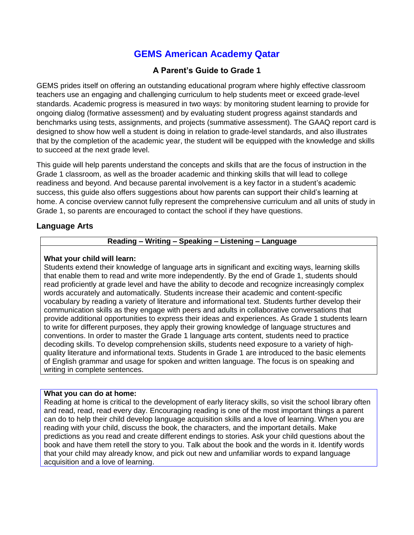# **GEMS American Academy Qatar**

# **A Parent's Guide to Grade 1**

GEMS prides itself on offering an outstanding educational program where highly effective classroom teachers use an engaging and challenging curriculum to help students meet or exceed grade-level standards. Academic progress is measured in two ways: by monitoring student learning to provide for ongoing dialog (formative assessment) and by evaluating student progress against standards and benchmarks using tests, assignments, and projects (summative assessment). The GAAQ report card is designed to show how well a student is doing in relation to grade-level standards, and also illustrates that by the completion of the academic year, the student will be equipped with the knowledge and skills to succeed at the next grade level.

This guide will help parents understand the concepts and skills that are the focus of instruction in the Grade 1 classroom, as well as the broader academic and thinking skills that will lead to college readiness and beyond. And because parental involvement is a key factor in a student's academic success, this guide also offers suggestions about how parents can support their child's learning at home. A concise overview cannot fully represent the comprehensive curriculum and all units of study in Grade 1, so parents are encouraged to contact the school if they have questions.

## **Language Arts**

## **Reading – Writing – Speaking – Listening – Language**

## **What your child will learn:**

Students extend their knowledge of language arts in significant and exciting ways, learning skills that enable them to read and write more independently. By the end of Grade 1, students should read proficiently at grade level and have the ability to decode and recognize increasingly complex words accurately and automatically. Students increase their academic and content-specific vocabulary by reading a variety of literature and informational text. Students further develop their communication skills as they engage with peers and adults in collaborative conversations that provide additional opportunities to express their ideas and experiences. As Grade 1 students learn to write for different purposes, they apply their growing knowledge of language structures and conventions. In order to master the Grade 1 language arts content, students need to practice decoding skills. To develop comprehension skills, students need exposure to a variety of highquality literature and informational texts. Students in Grade 1 are introduced to the basic elements of English grammar and usage for spoken and written language. The focus is on speaking and writing in complete sentences.

#### **What you can do at home:**

Reading at home is critical to the development of early literacy skills, so visit the school library often and read, read, read every day. Encouraging reading is one of the most important things a parent can do to help their child develop language acquisition skills and a love of learning. When you are reading with your child, discuss the book, the characters, and the important details. Make predictions as you read and create different endings to stories. Ask your child questions about the book and have them retell the story to you. Talk about the book and the words in it. Identify words that your child may already know, and pick out new and unfamiliar words to expand language acquisition and a love of learning.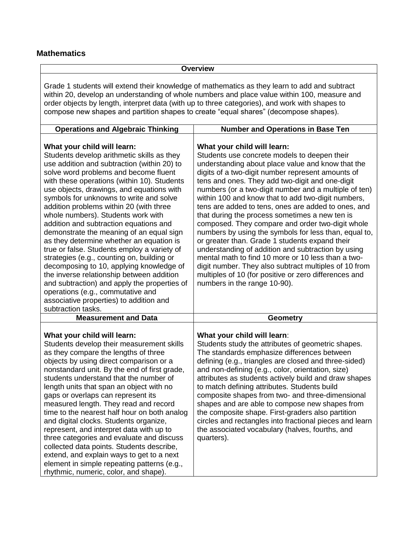# **Mathematics**

|                                                                                                                                                                                                                                                                                                                                                                                                                                                                                                                                                                                                                                                                                                                                                                                                                                                                         | <b>Overview</b>                                                                                                                                                                                                                                                                                                                                                                                                                                                                                                                                                                                                                                                                                                                                                                                                                                                                               |
|-------------------------------------------------------------------------------------------------------------------------------------------------------------------------------------------------------------------------------------------------------------------------------------------------------------------------------------------------------------------------------------------------------------------------------------------------------------------------------------------------------------------------------------------------------------------------------------------------------------------------------------------------------------------------------------------------------------------------------------------------------------------------------------------------------------------------------------------------------------------------|-----------------------------------------------------------------------------------------------------------------------------------------------------------------------------------------------------------------------------------------------------------------------------------------------------------------------------------------------------------------------------------------------------------------------------------------------------------------------------------------------------------------------------------------------------------------------------------------------------------------------------------------------------------------------------------------------------------------------------------------------------------------------------------------------------------------------------------------------------------------------------------------------|
| Grade 1 students will extend their knowledge of mathematics as they learn to add and subtract<br>within 20, develop an understanding of whole numbers and place value within 100, measure and<br>order objects by length, interpret data (with up to three categories), and work with shapes to<br>compose new shapes and partition shapes to create "equal shares" (decompose shapes).                                                                                                                                                                                                                                                                                                                                                                                                                                                                                 |                                                                                                                                                                                                                                                                                                                                                                                                                                                                                                                                                                                                                                                                                                                                                                                                                                                                                               |
| <b>Operations and Algebraic Thinking</b>                                                                                                                                                                                                                                                                                                                                                                                                                                                                                                                                                                                                                                                                                                                                                                                                                                | <b>Number and Operations in Base Ten</b>                                                                                                                                                                                                                                                                                                                                                                                                                                                                                                                                                                                                                                                                                                                                                                                                                                                      |
| What your child will learn:<br>Students develop arithmetic skills as they<br>use addition and subtraction (within 20) to<br>solve word problems and become fluent<br>with these operations (within 10). Students<br>use objects, drawings, and equations with<br>symbols for unknowns to write and solve<br>addition problems within 20 (with three<br>whole numbers). Students work with<br>addition and subtraction equations and<br>demonstrate the meaning of an equal sign<br>as they determine whether an equation is<br>true or false. Students employ a variety of<br>strategies (e.g., counting on, building or<br>decomposing to 10, applying knowledge of<br>the inverse relationship between addition<br>and subtraction) and apply the properties of<br>operations (e.g., commutative and<br>associative properties) to addition and<br>subtraction tasks. | What your child will learn:<br>Students use concrete models to deepen their<br>understanding about place value and know that the<br>digits of a two-digit number represent amounts of<br>tens and ones. They add two-digit and one-digit<br>numbers (or a two-digit number and a multiple of ten)<br>within 100 and know that to add two-digit numbers,<br>tens are added to tens, ones are added to ones, and<br>that during the process sometimes a new ten is<br>composed. They compare and order two-digit whole<br>numbers by using the symbols for less than, equal to,<br>or greater than. Grade 1 students expand their<br>understanding of addition and subtraction by using<br>mental math to find 10 more or 10 less than a two-<br>digit number. They also subtract multiples of 10 from<br>multiples of 10 (for positive or zero differences and<br>numbers in the range 10-90). |
| <b>Measurement and Data</b>                                                                                                                                                                                                                                                                                                                                                                                                                                                                                                                                                                                                                                                                                                                                                                                                                                             | <b>Geometry</b>                                                                                                                                                                                                                                                                                                                                                                                                                                                                                                                                                                                                                                                                                                                                                                                                                                                                               |
| What your child will learn:<br>Students develop their measurement skills<br>as they compare the lengths of three<br>objects by using direct comparison or a<br>nonstandard unit. By the end of first grade,<br>students understand that the number of<br>length units that span an object with no<br>gaps or overlaps can represent its<br>measured length. They read and record<br>time to the nearest half hour on both analog<br>and digital clocks. Students organize,<br>represent, and interpret data with up to<br>three categories and evaluate and discuss<br>collected data points. Students describe,<br>extend, and explain ways to get to a next<br>element in simple repeating patterns (e.g.,<br>rhythmic, numeric, color, and shape).                                                                                                                   | What your child will learn:<br>Students study the attributes of geometric shapes.<br>The standards emphasize differences between<br>defining (e.g., triangles are closed and three-sided)<br>and non-defining (e.g., color, orientation, size)<br>attributes as students actively build and draw shapes<br>to match defining attributes. Students build<br>composite shapes from two- and three-dimensional<br>shapes and are able to compose new shapes from<br>the composite shape. First-graders also partition<br>circles and rectangles into fractional pieces and learn<br>the associated vocabulary (halves, fourths, and<br>quarters).                                                                                                                                                                                                                                                |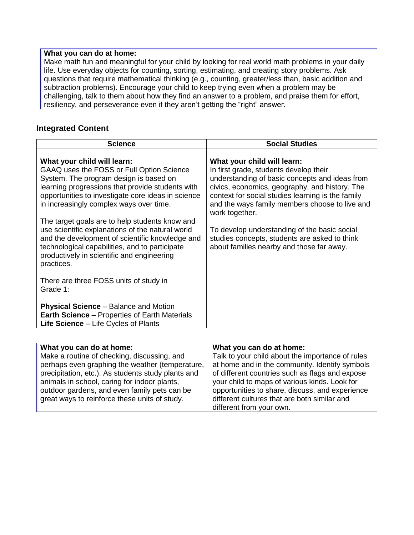## **What you can do at home:**

Make math fun and meaningful for your child by looking for real world math problems in your daily life. Use everyday objects for counting, sorting, estimating, and creating story problems. Ask questions that require mathematical thinking (e.g., counting, greater/less than, basic addition and subtraction problems). Encourage your child to keep trying even when a problem may be challenging, talk to them about how they find an answer to a problem, and praise them for effort, resiliency, and perseverance even if they aren't getting the "right" answer.

## **Integrated Content**

| <b>Science</b>                                                                                                                                                                                                                                                          | <b>Social Studies</b>                                                                                                                                                                                                                                                                              |
|-------------------------------------------------------------------------------------------------------------------------------------------------------------------------------------------------------------------------------------------------------------------------|----------------------------------------------------------------------------------------------------------------------------------------------------------------------------------------------------------------------------------------------------------------------------------------------------|
| What your child will learn:<br>GAAQ uses the FOSS or Full Option Science<br>System. The program design is based on<br>learning progressions that provide students with<br>opportunities to investigate core ideas in science<br>in increasingly complex ways over time. | What your child will learn:<br>In first grade, students develop their<br>understanding of basic concepts and ideas from<br>civics, economics, geography, and history. The<br>context for social studies learning is the family<br>and the ways family members choose to live and<br>work together. |
| The target goals are to help students know and<br>use scientific explanations of the natural world<br>and the development of scientific knowledge and<br>technological capabilities, and to participate<br>productively in scientific and engineering<br>practices.     | To develop understanding of the basic social<br>studies concepts, students are asked to think<br>about families nearby and those far away.                                                                                                                                                         |
| There are three FOSS units of study in<br>Grade 1:                                                                                                                                                                                                                      |                                                                                                                                                                                                                                                                                                    |
| <b>Physical Science - Balance and Motion</b><br><b>Earth Science</b> – Properties of Earth Materials<br>Life Science - Life Cycles of Plants                                                                                                                            |                                                                                                                                                                                                                                                                                                    |

| What you can do at home:                                                                       | What you can do at home:                                                                           |
|------------------------------------------------------------------------------------------------|----------------------------------------------------------------------------------------------------|
| Make a routine of checking, discussing, and<br>perhaps even graphing the weather (temperature, | Talk to your child about the importance of rules<br>at home and in the community. Identify symbols |
| precipitation, etc.). As students study plants and                                             | of different countries such as flags and expose                                                    |
| animals in school, caring for indoor plants,                                                   | your child to maps of various kinds. Look for                                                      |
| outdoor gardens, and even family pets can be<br>great ways to reinforce these units of study.  | opportunities to share, discuss, and experience<br>different cultures that are both similar and    |
|                                                                                                | different from your own.                                                                           |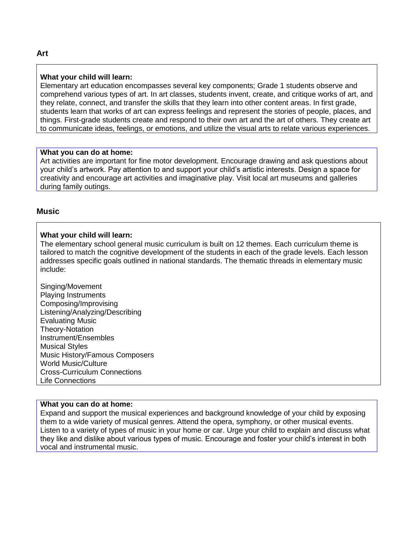## **What your child will learn:**

Elementary art education encompasses several key components; Grade 1 students observe and comprehend various types of art. In art classes, students invent, create, and critique works of art, and they relate, connect, and transfer the skills that they learn into other content areas. In first grade, students learn that works of art can express feelings and represent the stories of people, places, and things. First-grade students create and respond to their own art and the art of others. They create art to communicate ideas, feelings, or emotions, and utilize the visual arts to relate various experiences.

#### **What you can do at home:**

Art activities are important for fine motor development. Encourage drawing and ask questions about your child's artwork. Pay attention to and support your child's artistic interests. Design a space for creativity and encourage art activities and imaginative play. Visit local art museums and galleries during family outings.

## **Music**

#### **What your child will learn:**

The elementary school general music curriculum is built on 12 themes. Each curriculum theme is tailored to match the cognitive development of the students in each of the grade levels. Each lesson addresses specific goals outlined in national standards. The thematic threads in elementary music include:

Singing/Movement Playing Instruments Composing/Improvising Listening/Analyzing/Describing Evaluating Music Theory-Notation Instrument/Ensembles Musical Styles Music History/Famous Composers World Music/Culture Cross-Curriculum Connections Life Connections

## **What you can do at home:**

Expand and support the musical experiences and background knowledge of your child by exposing them to a wide variety of musical genres. Attend the opera, symphony, or other musical events. Listen to a variety of types of music in your home or car. Urge your child to explain and discuss what they like and dislike about various types of music. Encourage and foster your child's interest in both vocal and instrumental music.